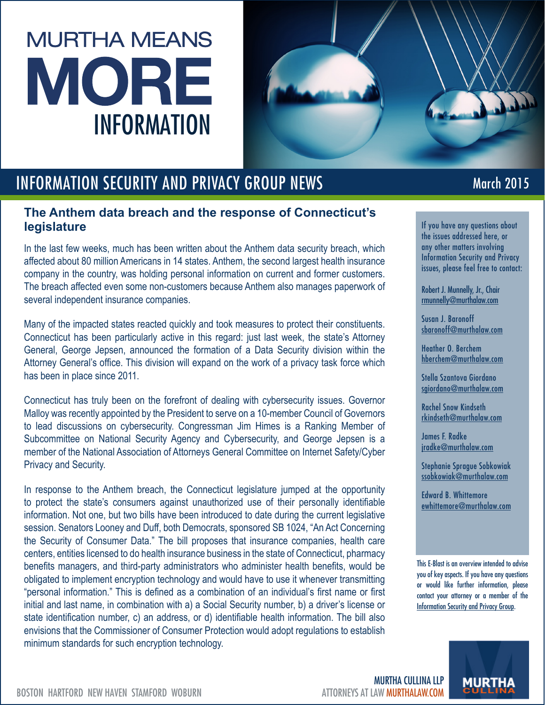## **MURTHA MEANS** MORE INFORMATION



## INFORMATION SECURITY AND PRIVACY GROUP NEWS

## **The Anthem data breach and the response of Connecticut's legislature**

In the last few weeks, much has been written about the Anthem data security breach, which affected about 80 million Americans in 14 states. Anthem, the second largest health insurance company in the country, was holding personal information on current and former customers. The breach affected even some non-customers because Anthem also manages paperwork of several independent insurance companies.

Many of the impacted states reacted quickly and took measures to protect their constituents. Connecticut has been particularly active in this regard: just last week, the state's Attorney General, George Jepsen, announced the formation of a Data Security division within the Attorney General's office. This division will expand on the work of a privacy task force which has been in place since 2011.

Connecticut has truly been on the forefront of dealing with cybersecurity issues. Governor Malloy was recently appointed by the President to serve on a 10-member Council of Governors to lead discussions on cybersecurity. Congressman Jim Himes is a Ranking Member of Subcommittee on National Security Agency and Cybersecurity, and George Jepsen is a member of the National Association of Attorneys General Committee on Internet Safety/Cyber Privacy and Security.

In response to the Anthem breach, the Connecticut legislature jumped at the opportunity to protect the state's consumers against unauthorized use of their personally identifiable information. Not one, but two bills have been introduced to date during the current legislative session. Senators Looney and Duff, both Democrats, sponsored SB 1024, "An Act Concerning the Security of Consumer Data." The bill proposes that insurance companies, health care centers, entities licensed to do health insurance business in the state of Connecticut, pharmacy benefits managers, and third-party administrators who administer health benefits, would be obligated to implement encryption technology and would have to use it whenever transmitting "personal information." This is defined as a combination of an individual's first name or first initial and last name, in combination with a) a Social Security number, b) a driver's license or state identification number, c) an address, or d) identifiable health information. The bill also envisions that the Commissioner of Consumer Protection would adopt regulations to establish minimum standards for such encryption technology.

## March 2015

If you have any questions about the issues addressed here, or any other matters involving Information Security and Privacy issues, please feel free to contact:

Robert J. Munnelly, Jr., Chair [rmunnelly@murthalaw.com](mailto:rmunnelly%40murthalaw.com?subject=)

Susan J. Baronoff sbaronoff@murthalaw.com

Heather O. Berchem hberchem@murthalaw.com

Stella Szantova Giordano sgiordano@murthalaw.com

Rachel Snow Kindseth rkindseth@murthalaw.com

James F. Radke jradke@murthalaw.com

Stephanie Sprague Sobkowiak ssobkowiak@murthalaw.com

Edward B. Whittemore ewhittemore@murthalaw.com

This E-Blast is an overview intended to advise you of key aspects. If you have any questions or would like further information, please contact your attorney or a member of the [Information Security and Privacy Group.](http://www.murthalaw.com/practices_industries/information-security-privacy)



BOSTON HARTFORD NEW HAVEN STAMFORD WOBURN ATTORNEYS AT LAW **MURTHALAW.COM** 

MURTHA CULLINA LLP